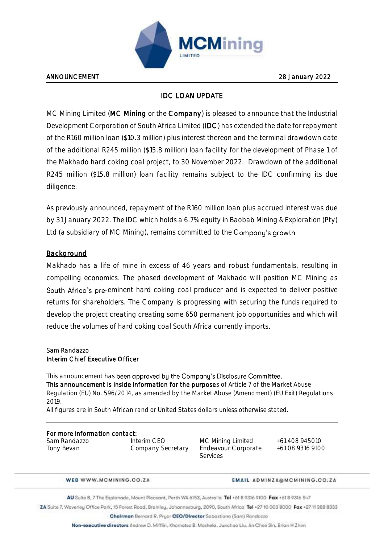

## IDC LOAN UPDATE

MC Mining Limited (MC Mining or the Company) is pleased to announce that the Industrial Development Corporation of South Africa Limited (IDC) has extended the date for repayment of the R160 million loan (\$10.3 million) plus interest thereon and the terminal drawdown date of the additional R245 million (\$15.8 million) loan facility for the development of Phase 1 of the Makhado hard coking coal project, to 30 November 2022. Drawdown of the additional R245 million (\$15.8 million) loan facility remains subject to the IDC confirming its due diligence.

As previously announced, repayment of the R160 million loan plus accrued interest was due by 31 January 2022. The IDC which holds a 6.7% equity in Baobab Mining & Exploration (Pty) Ltd (a subsidiary of MC Mining), remains committed to the Company's growth

## **Background**

Makhado has a life of mine in excess of 46 years and robust fundamentals, resulting in compelling economics. The phased development of Makhado will position MC Mining as South Africa's pre-eminent hard coking coal producer and is expected to deliver positive returns for shareholders. The Company is progressing with securing the funds required to develop the project creating creating some 650 permanent job opportunities and which will reduce the volumes of hard coking coal South Africa currently imports.

Sam Randazzo

## Interim Chief Executive Officer

This announcement has been approved by the Company's Disclosure Committee. This announcement is inside information for the purposes of Article 7 of the Market Abuse Regulation (EU) No. 596/2014, as amended by the Market Abuse (Amendment) (EU Exit) Regulations 2019.

All figures are in South African rand or United States dollars unless otherwise stated.

# For more information contact:

Sam Randazzo Interim CEO MC Mining Limited +61 408 945010 Company Secretary Endeavour Corporate

Services

+61 08 9316 9100

WEB WWW.MCMINING.CO.ZA

#### **EMAIL ADMINZA@MCMINING.CO.ZA**

AU Suite B, 7 The Esplanade, Mount Pleasant, Perth WA 6153, Australia Tel +61 B 9316 9100 Fax +61 B 9316 547

ZA Suite 7, Waverley Office Park, 15 Forest Road, Bramley, Johannesburg, 2090, South Africa Tel +27 10 003 8000 Fax +27 11 388 8333

Chalrman Bernard R. Pryor CEO/Director Sabastiano (Sam) Randazzo

Non-executive directors Andrew D. Mifflin, Khamatso B. Moshela, Junchao Liu, An Chee Sin, Brian H Zhen